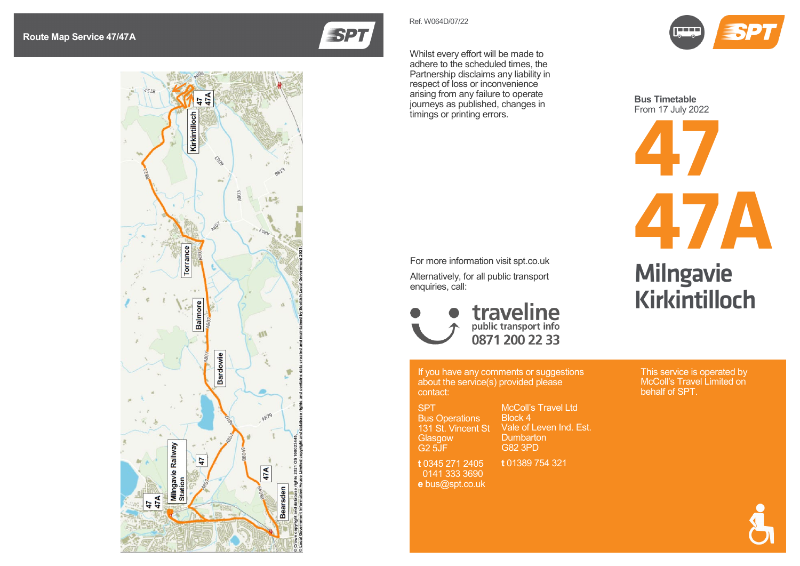



Whilst every effort will be made to adhere to the scheduled times, the Partnership disclaims any liability in respect of loss or inconvenience arising from any failure to operate journeys as published, changes in timings or printing errors.

Ref. W06 4D/07/22



Alternatively, for all public transport enquiries, call:



If you have any comments or suggestions about the service(s) provided please contact:

SPT Bus Operations 131 St. Vincent St **Glasgow** 

G2 5JF **t** 0345 271 2405 0141 333 3690 **e** bus@spt.co.uk

McColl's Travel Ltd Block 4 Vale of Leven Ind. Est. **Dumbarton** 

**t** 01389 754 321

G82 3PD

Kirkintilloch

**Milngavie** 

**47A**

This service is operated by McColl's Travel Limited on behalf of SPT.



**47 Bus Timetable** From 17 July 2022